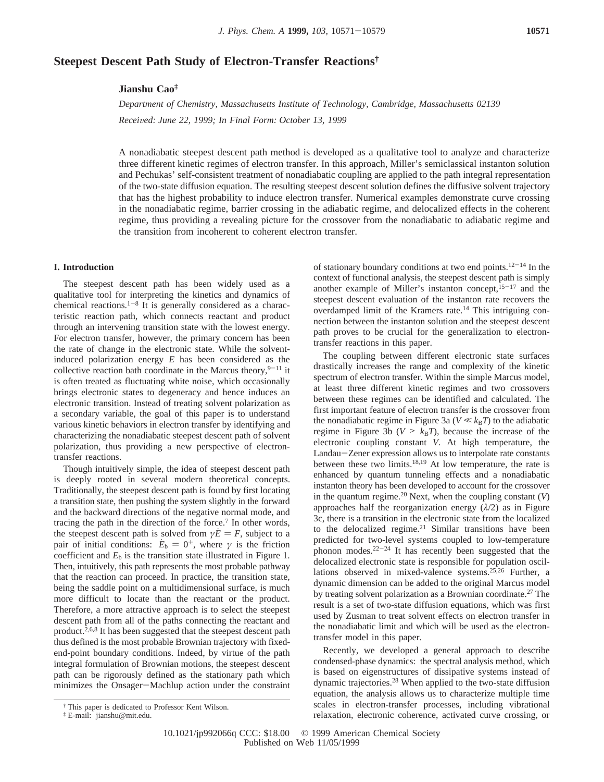# **Steepest Descent Path Study of Electron-Transfer Reactions†**

## **Jianshu Cao‡**

*Department of Chemistry, Massachusetts Institute of Technology, Cambridge, Massachusetts 02139 Recei*V*ed: June 22, 1999; In Final Form: October 13, 1999*

A nonadiabatic steepest descent path method is developed as a qualitative tool to analyze and characterize three different kinetic regimes of electron transfer. In this approach, Miller's semiclassical instanton solution and Pechukas' self-consistent treatment of nonadiabatic coupling are applied to the path integral representation of the two-state diffusion equation. The resulting steepest descent solution defines the diffusive solvent trajectory that has the highest probability to induce electron transfer. Numerical examples demonstrate curve crossing in the nonadiabatic regime, barrier crossing in the adiabatic regime, and delocalized effects in the coherent regime, thus providing a revealing picture for the crossover from the nonadiabatic to adiabatic regime and the transition from incoherent to coherent electron transfer.

## **I. Introduction**

The steepest descent path has been widely used as a qualitative tool for interpreting the kinetics and dynamics of chemical reactions.<sup>1-8</sup> It is generally considered as a characteristic reaction path, which connects reactant and product through an intervening transition state with the lowest energy. For electron transfer, however, the primary concern has been the rate of change in the electronic state. While the solventinduced polarization energy *E* has been considered as the collective reaction bath coordinate in the Marcus theory,  $9-11$  it is often treated as fluctuating white noise, which occasionally brings electronic states to degeneracy and hence induces an electronic transition. Instead of treating solvent polarization as a secondary variable, the goal of this paper is to understand various kinetic behaviors in electron transfer by identifying and characterizing the nonadiabatic steepest descent path of solvent polarization, thus providing a new perspective of electrontransfer reactions.

Though intuitively simple, the idea of steepest descent path is deeply rooted in several modern theoretical concepts. Traditionally, the steepest descent path is found by first locating a transition state, then pushing the system slightly in the forward and the backward directions of the negative normal mode, and tracing the path in the direction of the force.<sup>7</sup> In other words, the steepest descent path is solved from  $\gamma E = F$ , subject to a pair of initial conditions:  $\dot{E}_b = 0^{\pm}$ , where  $\gamma$  is the friction coefficient and  $E<sub>b</sub>$  is the transition state illustrated in Figure 1. Then, intuitively, this path represents the most probable pathway that the reaction can proceed. In practice, the transition state, being the saddle point on a multidimensional surface, is much more difficult to locate than the reactant or the product. Therefore, a more attractive approach is to select the steepest descent path from all of the paths connecting the reactant and product.<sup>2,6,8</sup> It has been suggested that the steepest descent path thus defined is the most probable Brownian trajectory with fixedend-point boundary conditions. Indeed, by virtue of the path integral formulation of Brownian motions, the steepest descent path can be rigorously defined as the stationary path which minimizes the Onsager-Machlup action under the constraint

of stationary boundary conditions at two end points.<sup>12-14</sup> In the context of functional analysis, the steepest descent path is simply another example of Miller's instanton concept, $15-17$  and the steepest descent evaluation of the instanton rate recovers the overdamped limit of the Kramers rate.14 This intriguing connection between the instanton solution and the steepest descent path proves to be crucial for the generalization to electrontransfer reactions in this paper.

The coupling between different electronic state surfaces drastically increases the range and complexity of the kinetic spectrum of electron transfer. Within the simple Marcus model, at least three different kinetic regimes and two crossovers between these regimes can be identified and calculated. The first important feature of electron transfer is the crossover from the nonadiabatic regime in Figure 3a ( $V \ll k_B T$ ) to the adiabatic regime in Figure 3b ( $V > k_B T$ ), because the increase of the electronic coupling constant *V*. At high temperature, the Landau-Zener expression allows us to interpolate rate constants Landau-Zener expression allows us to interpolate rate constants<br>between these two limits.<sup>18,19</sup> At low temperature, the rate is enhanced by quantum tunneling effects and a nonadiabatic instanton theory has been developed to account for the crossover in the quantum regime.<sup>20</sup> Next, when the coupling constant  $(V)$ approaches half the reorganization energy  $(\lambda/2)$  as in Figure 3c, there is a transition in the electronic state from the localized to the delocalized regime.<sup>21</sup> Similar transitions have been predicted for two-level systems coupled to low-temperature phonon modes. $2^{2-24}$  It has recently been suggested that the delocalized electronic state is responsible for population oscillations observed in mixed-valence systems.25,26 Further, a dynamic dimension can be added to the original Marcus model by treating solvent polarization as a Brownian coordinate.27 The result is a set of two-state diffusion equations, which was first used by Zusman to treat solvent effects on electron transfer in the nonadiabatic limit and which will be used as the electrontransfer model in this paper.

Recently, we developed a general approach to describe condensed-phase dynamics: the spectral analysis method, which is based on eigenstructures of dissipative systems instead of dynamic trajectories.28 When applied to the two-state diffusion equation, the analysis allows us to characterize multiple time scales in electron-transfer processes, including vibrational relaxation, electronic coherence, activated curve crossing, or

<sup>†</sup> This paper is dedicated to Professor Kent Wilson.

<sup>‡</sup> E-mail: jianshu@mit.edu.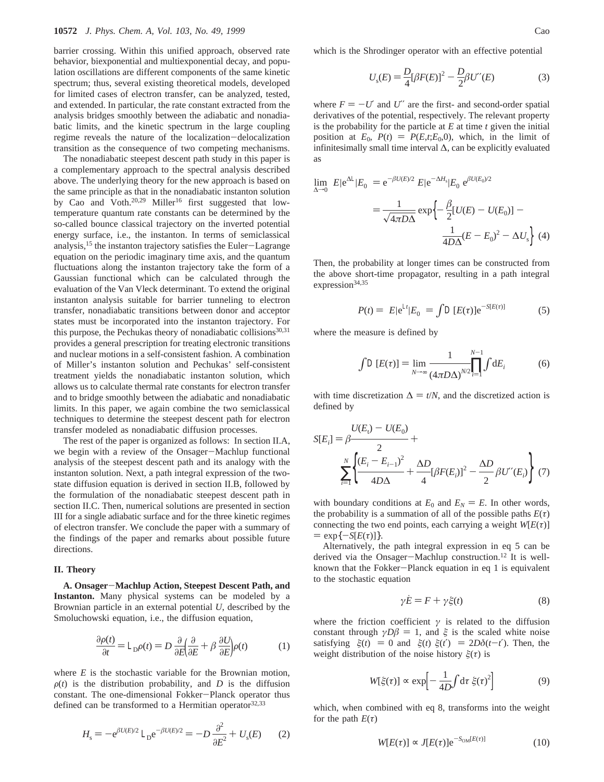barrier crossing. Within this unified approach, observed rate behavior, biexponential and multiexponential decay, and population oscillations are different components of the same kinetic spectrum; thus, several existing theoretical models, developed for limited cases of electron transfer, can be analyzed, tested, and extended. In particular, the rate constant extracted from the analysis bridges smoothly between the adiabatic and nonadiabatic limits, and the kinetic spectrum in the large coupling regime reveals the nature of the localization-delocalization transition as the consequence of two competing mechanisms.

The nonadiabatic steepest descent path study in this paper is a complementary approach to the spectral analysis described above. The underlying theory for the new approach is based on the same principle as that in the nonadiabatic instanton solution by Cao and Voth.<sup>20,29</sup> Miller<sup>16</sup> first suggested that lowtemperature quantum rate constants can be determined by the so-called bounce classical trajectory on the inverted potential energy surface, i.e., the instanton. In terms of semiclassical analysis,15 the instanton trajectory satisfies the Euler-Lagrange equation on the periodic imaginary time axis, and the quantum fluctuations along the instanton trajectory take the form of a Gaussian functional which can be calculated through the evaluation of the Van Vleck determinant. To extend the original instanton analysis suitable for barrier tunneling to electron transfer, nonadiabatic transitions between donor and acceptor states must be incorporated into the instanton trajectory. For this purpose, the Pechukas theory of nonadiabatic collisions<sup>30,31</sup> provides a general prescription for treating electronic transitions and nuclear motions in a self-consistent fashion. A combination of Miller's instanton solution and Pechukas' self-consistent treatment yields the nonadiabatic instanton solution, which allows us to calculate thermal rate constants for electron transfer and to bridge smoothly between the adiabatic and nonadiabatic limits. In this paper, we again combine the two semiclassical techniques to determine the steepest descent path for electron transfer modeled as nonadiabatic diffusion processes.

The rest of the paper is organized as follows: In section II.A, we begin with a review of the Onsager-Machlup functional analysis of the steepest descent path and its analogy with the instanton solution. Next, a path integral expression of the twostate diffusion equation is derived in section II.B, followed by the formulation of the nonadiabatic steepest descent path in section II.C. Then, numerical solutions are presented in section III for a single adiabatic surface and for the three kinetic regimes of electron transfer. We conclude the paper with a summary of the findings of the paper and remarks about possible future directions.

## **II. Theory**

**A. Onsager**-**Machlup Action, Steepest Descent Path, and Instanton.** Many physical systems can be modeled by a Brownian particle in an external potential *U*, described by the Smoluchowski equation, i.e., the diffusion equation,

$$
\frac{\partial \rho(t)}{\partial t} = \angle_{D} \rho(t) = D \frac{\partial}{\partial E} \left( \frac{\partial}{\partial E} + \beta \frac{\partial U}{\partial E} \right) \rho(t) \tag{1}
$$

where *E* is the stochastic variable for the Brownian motion,  $\rho(t)$  is the distribution probability, and *D* is the diffusion constant. The one-dimensional Fokker-Planck operator thus defined can be transformed to a Hermitian operator<sup>32,33</sup>

$$
H_{\rm s} = -\mathrm{e}^{\beta U(E)/2} \, \angle_{\rm D} \mathrm{e}^{-\beta U(E)/2} = -D \, \frac{\partial^2}{\partial E^2} + U_{\rm s}(E) \qquad (2)
$$

which is the Shrodinger operator with an effective potential

$$
U_s(E) = \frac{D}{4} [\beta F(E)]^2 - \frac{D}{2} \beta U''(E)
$$
 (3)

where  $F = -U'$  and U'' are the first- and second-order spatial derivatives of the potential, respectively. The relevant property is the probability for the particle at *E* at time *t* given the initial position at  $E_0$ ,  $P(t) = P(E,t;E_0,0)$ , which, in the limit of infinitesimally small time interval ∆, can be explicitly evaluated as

$$
\lim_{\Delta \to 0} \langle E|e^{\Delta Z}|E_0 \rangle = e^{-\beta U(E)/2} \langle E|e^{-\Delta H_s}|E_0 \rangle e^{\beta U(E_0)/2}
$$

$$
= \frac{1}{\sqrt{4\pi D\Delta}} \exp \left\{ -\frac{\beta}{2} [U(E) - U(E_0)] - \frac{1}{4D\Delta} (E - E_0)^2 - \Delta U_s \right\} (4)
$$

Then, the probability at longer times can be constructed from the above short-time propagator, resulting in a path integral expression<sup>34,35</sup>

$$
P(t) = \langle E|e^{\Delta t}|E_0\rangle = \int \mathcal{L}[E(\tau)]e^{-S[E(\tau)]}
$$
 (5)

where the measure is defined by

$$
\int \mathcal{L}[E(\tau)] = \lim_{N \to \infty} \frac{1}{(4\pi D\Delta)^{N/2}} \prod_{i=1}^{N-1} \int dE_i \tag{6}
$$

with time discretization  $\Delta = t/N$ , and the discretized action is defined by

$$
S[E_i] = \beta \frac{U(E_i) - U(E_0)}{2} + \frac{N}{2} \left\{ \frac{(E_i - E_{i-1})^2}{4D\Delta} + \frac{\Delta D}{4} [\beta F(E_i)]^2 - \frac{\Delta D}{2} \beta U''(E_i) \right\} (7)
$$

with boundary conditions at  $E_0$  and  $E_N = E$ . In other words, the probability is a summation of all of the possible paths  $E(\tau)$ connecting the two end points, each carrying a weight  $W[E(\tau)]$  $=$  exp $\{-S[E(\tau)]\}.$ 

Alternatively, the path integral expression in eq 5 can be derived via the Onsager-Machlup construction.<sup>12</sup> It is wellknown that the Fokker-Planck equation in eq 1 is equivalent to the stochastic equation

$$
\gamma \dot{E} = F + \gamma \xi(t) \tag{8}
$$

where the friction coefficient  $\gamma$  is related to the diffusion constant through  $\gamma D\beta = 1$ , and  $\xi$  is the scaled white noise satisfying  $\langle \xi(t) \rangle = 0$  and  $\langle \xi(t) \xi(t') \rangle = 2D\delta(t-t')$ . Then, the weight distribution of the noise history  $\xi(\tau)$  is

$$
W[\xi(\tau)] \propto \exp\left[-\frac{1}{4D}\int d\tau \ \xi(\tau)^2\right] \tag{9}
$$

which, when combined with eq 8, transforms into the weight for the path  $E(\tau)$ 

$$
W[E(\tau)] \propto J[E(\tau)] \mathrm{e}^{-S_{\mathrm{OM}}[E(\tau)]} \tag{10}
$$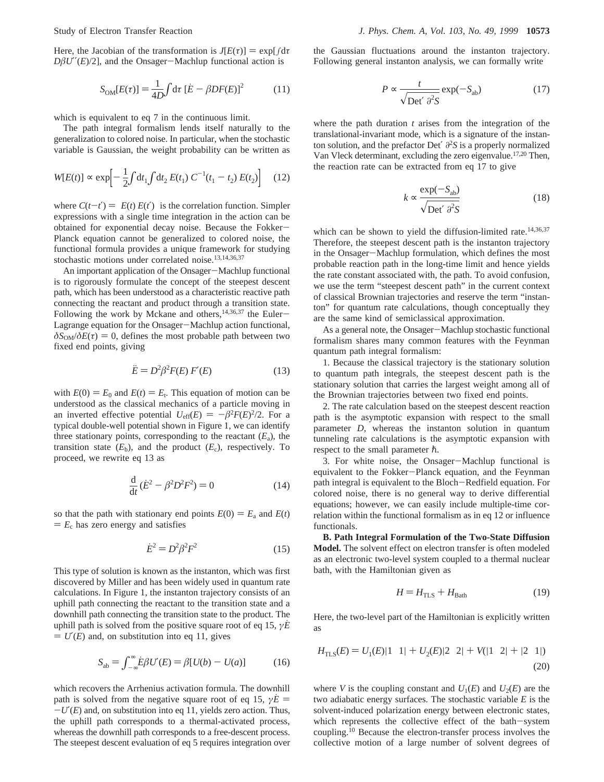Here, the Jacobian of the transformation is  $J[E(\tau)] = \exp[\int d\tau$  $D\beta U''(E)/2$ ], and the Onsager-Machlup functional action is

$$
S_{\text{OM}}[E(\tau)] = \frac{1}{4D} \int \mathrm{d}\tau \left[ \dot{E} - \beta DF(E) \right]^2 \tag{11}
$$

which is equivalent to eq 7 in the continuous limit.

The path integral formalism lends itself naturally to the generalization to colored noise. In particular, when the stochastic variable is Gaussian, the weight probability can be written as

$$
W[E(t)] \propto \exp\left[-\frac{1}{2}\int dt_1 \int dt_2 E(t_1) C^{-1}(t_1 - t_2) E(t_2)\right] \quad (12)
$$

where  $C(t-t') = \langle E(t) E(t') \rangle$  is the correlation function. Simpler expressions with a single time integration in the action can be obtained for exponential decay noise. Because the Fokker-Planck equation cannot be generalized to colored noise, the functional formula provides a unique framework for studying stochastic motions under correlated noise.13,14,36,37

An important application of the Onsager-Machlup functional is to rigorously formulate the concept of the steepest descent path, which has been understood as a characteristic reactive path connecting the reactant and product through a transition state. Following the work by Mckane and others,  $14,36,37$  the Euler-Lagrange equation for the Onsager-Machlup action functional,  $\delta S_{OM}/\delta E(\tau) = 0$ , defines the most probable path between two fixed end points, giving

$$
\ddot{E} = D^2 \beta^2 F(E) F'(E) \tag{13}
$$

with  $E(0) = E_0$  and  $E(t) = E_t$ . This equation of motion can be understood as the classical mechanics of a particle moving in an inverted effective potential  $U_{\text{eff}}(E) = -\beta^2 F(E)^2/2$ . For a typical double-well potential shown in Figure 1, we can identify three stationary points, corresponding to the reactant  $(E_a)$ , the transition state  $(E_b)$ , and the product  $(E_c)$ , respectively. To proceed, we rewrite eq 13 as

$$
\frac{d}{dt}(\dot{E}^2 - \beta^2 D^2 F^2) = 0
$$
\n(14)

so that the path with stationary end points  $E(0) = E_a$  and  $E(t)$  $E_c$  has zero energy and satisfies

$$
\dot{E}^2 = D^2 \beta^2 F^2 \tag{15}
$$

This type of solution is known as the instanton, which was first discovered by Miller and has been widely used in quantum rate calculations. In Figure 1, the instanton trajectory consists of an uphill path connecting the reactant to the transition state and a downhill path connecting the transition state to the product. The uphill path is solved from the positive square root of eq 15, *<sup>γ</sup>E*˙  $= U'(E)$  and, on substitution into eq 11, gives

$$
S_{ab} = \int_{-\infty}^{\infty} \dot{E} \beta U'(E) = \beta [U(b) - U(a)] \tag{16}
$$

which recovers the Arrhenius activation formula. The downhill path is solved from the negative square root of eq 15,  $\gamma E =$ -*U*′(*E*) and, on substitution into eq 11, yields zero action. Thus, the uphill path corresponds to a thermal-activated process, whereas the downhill path corresponds to a free-descent process. The steepest descent evaluation of eq 5 requires integration over the Gaussian fluctuations around the instanton trajectory. Following general instanton analysis, we can formally write

$$
P \propto \frac{t}{\sqrt{\text{Det}' \partial^2 S}} \exp(-S_{ab})
$$
 (17)

where the path duration *t* arises from the integration of the translational-invariant mode, which is a signature of the instanton solution, and the prefactor Det′ *∂*<sup>2</sup>*S* is a properly normalized Van Vleck determinant, excluding the zero eigenvalue.17,20 Then, the reaction rate can be extracted from eq 17 to give

$$
k \propto \frac{\exp(-S_{ab})}{\sqrt{\text{Det}' \partial^2 S}}
$$
 (18)

which can be shown to yield the diffusion-limited rate.<sup>14,36,37</sup> Therefore, the steepest descent path is the instanton trajectory in the Onsager-Machlup formulation, which defines the most probable reaction path in the long-time limit and hence yields the rate constant associated with, the path. To avoid confusion, we use the term "steepest descent path" in the current context of classical Brownian trajectories and reserve the term "instanton" for quantum rate calculations, though conceptually they are the same kind of semiclassical approximation.

As a general note, the Onsager-Machlup stochastic functional formalism shares many common features with the Feynman quantum path integral formalism:

1. Because the classical trajectory is the stationary solution to quantum path integrals, the steepest descent path is the stationary solution that carries the largest weight among all of the Brownian trajectories between two fixed end points.

2. The rate calculation based on the steepest descent reaction path is the asymptotic expansion with respect to the small parameter *D*, whereas the instanton solution in quantum tunneling rate calculations is the asymptotic expansion with respect to the small parameter  $\hbar$ .

3. For white noise, the Onsager-Machlup functional is equivalent to the Fokker-Planck equation, and the Feynman path integral is equivalent to the Bloch-Redfield equation. For colored noise, there is no general way to derive differential equations; however, we can easily include multiple-time correlation within the functional formalism as in eq 12 or influence functionals.

**B. Path Integral Formulation of the Two-State Diffusion Model.** The solvent effect on electron transfer is often modeled as an electronic two-level system coupled to a thermal nuclear bath, with the Hamiltonian given as

$$
H = H_{\text{TLS}} + H_{\text{Bath}} \tag{19}
$$

Here, the two-level part of the Hamiltonian is explicitly written as

$$
H_{\rm TLS}(E) = U_1(E)|1\rangle\langle 1| + U_2(E)|2\rangle\langle 2| + V(|1\rangle\langle 2| + |2\rangle\langle 1|)
$$
\n(20)

where *V* is the coupling constant and  $U_1(E)$  and  $U_2(E)$  are the two adiabatic energy surfaces. The stochastic variable *E* is the solvent-induced polarization energy between electronic states, which represents the collective effect of the bath-system coupling.10 Because the electron-transfer process involves the collective motion of a large number of solvent degrees of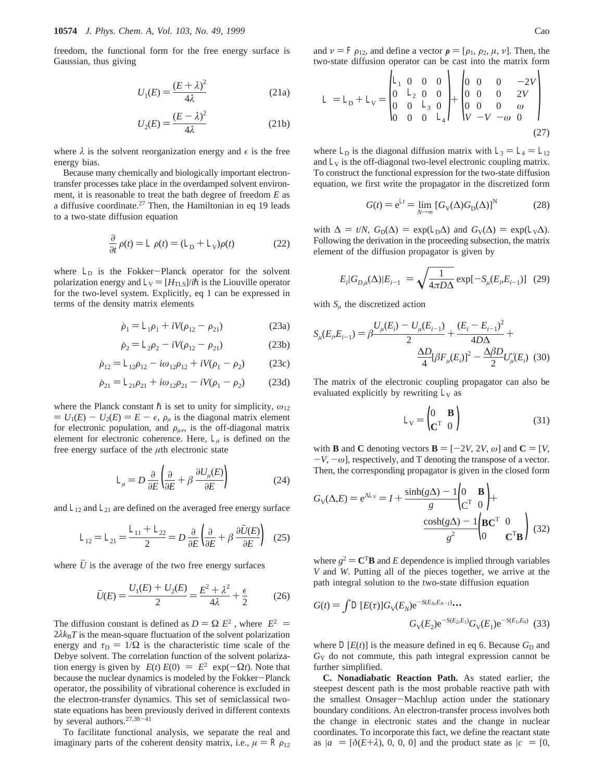freedom, the functional form for the free energy surface is Gaussian, thus giving

$$
U_1(E) = \frac{(E+\lambda)^2}{4\lambda} \tag{21a}
$$

$$
U_2(E) = \frac{(E - \lambda)^2}{4\lambda} \tag{21b}
$$

where  $\lambda$  is the solvent reorganization energy and  $\epsilon$  is the free energy bias.

Because many chemically and biologically important electrontransfer processes take place in the overdamped solvent environment, it is reasonable to treat the bath degree of freedom *E* as a diffusive coordinate.<sup>27</sup> Then, the Hamiltonian in eq 19 leads to a two-state diffusion equation

$$
\frac{\partial}{\partial t}\rho(t) = \angle \rho(t) = (\angle_D + \angle_V)\rho(t)
$$
\n(22)

where  $\angle_D$  is the Fokker-Planck operator for the solvent polarization energy and  $\angle$ <sub>V</sub> = [ $H_{\text{TLS}}$ ]/*ih* is the Liouville operator for the two-level system. Explicitly, eq 1 can be expressed in terms of the density matrix elements

$$
\dot{\rho}_1 = \angle_1 \rho_1 + iV(\rho_{12} - \rho_{21})
$$
 (23a)

$$
\dot{\rho}_2 = \angle_2 \rho_2 - iV(\rho_{12} - \rho_{21})
$$
 (23b)

$$
\dot{\rho}_{12} = \angle_{12}\rho_{12} - i\omega_{12}\rho_{12} + iV(\rho_1 - \rho_2)
$$
 (23c)

$$
\dot{\rho}_{21} = \angle_{21} \rho_{21} + i \omega_{12} \rho_{21} - i V (\rho_1 - \rho_2) \tag{23d}
$$

where the Planck constant  $\hbar$  is set to unity for simplicity,  $\omega_{12}$  $= U_1(E) - U_2(E) = E - \epsilon$ ,  $\rho_\mu$  is the diagonal matrix element for electronic population, and  $\rho_{\mu\nu}$ , is the off-diagonal matrix element for electronic coherence. Here,  $\angle_{\mu}$  is defined on the free energy surface of the *µ*th electronic state

$$
\angle_{\mu} = D \frac{\partial}{\partial E} \left( \frac{\partial}{\partial E} + \beta \frac{\partial U_{\mu}(E)}{\partial E} \right) \tag{24}
$$

and  $\angle_{12}$  and  $\angle_{21}$  are defined on the averaged free energy surface

$$
\angle_{12} = \angle_{21} = \frac{\angle_{11} + \angle_{22}}{2} = D \frac{\partial}{\partial E} \left( \frac{\partial}{\partial E} + \beta \frac{\partial \bar{U}(E)}{\partial E} \right) (25)
$$

where  $U$  is the average of the two free energy surfaces

$$
\bar{U}(E) = \frac{U_1(E) + U_2(E)}{2} = \frac{E^2 + \lambda^2}{4\lambda} + \frac{\epsilon}{2}
$$
 (26)

The diffusion constant is defined as  $D = \Omega \langle E^2 \rangle$ , where  $\langle E^2 \rangle =$  $2\lambda k_B T$  is the mean-square fluctuation of the solvent polarization energy and  $\tau_D = 1/\Omega$  is the characteristic time scale of the Debye solvent. The correlation function of the solvent polarization energy is given by  $\langle E(t) E(0) \rangle = \langle E^2 \rangle \exp(-\Omega t)$ . Note that because the nuclear dynamics is modeled by the Fokker-Planck operator, the possibility of vibrational coherence is excluded in the electron-transfer dynamics. This set of semiclassical twostate equations has been previously derived in different contexts by several authors.27,38-<sup>41</sup>

To facilitate functional analysis, we separate the real and imaginary parts of the coherent density matrix, i.e.,  $\mu = Rp_{12}$ 

$$
\angle = \angle_{\mathbf{D}} + \angle_{\mathbf{V}} = \begin{pmatrix} \angle_{1} & 0 & 0 & 0 \\ 0 & \angle_{2} & 0 & 0 \\ 0 & 0 & \angle_{3} & 0 \\ 0 & 0 & 0 & \angle_{4} \end{pmatrix} + \begin{pmatrix} 0 & 0 & 0 & -2V \\ 0 & 0 & 0 & 2V \\ 0 & 0 & 0 & \omega \\ V & -V & -\omega & 0 \end{pmatrix} \tag{27}
$$

where  $\angle_D$  is the diagonal diffusion matrix with  $\angle_3 = \angle_4 = \angle_{12}$ and  $\angle$ <sub>V</sub> is the off-diagonal two-level electronic coupling matrix. To construct the functional expression for the two-state diffusion equation, we first write the propagator in the discretized form

$$
G(t) = e^{\lambda t} = \lim_{N \to \infty} \left[ G_V(\Delta) G_D(\Delta) \right]^N \tag{28}
$$

with  $\Delta = t/N$ ,  $G_D(\Delta) = \exp(\angle_D \Delta)$  and  $G_V(\Delta) = \exp(\angle_V \Delta)$ . Following the derivation in the proceeding subsection, the matrix element of the diffusion propagator is given by

$$
\langle E_i | G_{D,\mu}(\Delta) | E_{i-1} \rangle = \sqrt{\frac{1}{4\pi D\Delta}} \exp[-S_{\mu}(E_i, E_{i-1})] \quad (29)
$$

with  $S_\mu$  the discretized action

$$
S_{\mu}(E_i, E_{i-1}) = \beta \frac{U_{\mu}(E_i) - U_{\mu}(E_{i-1})}{2} + \frac{(E_i - E_{i-1})^2}{4D\Delta} + \frac{\Delta D}{4} [\beta F_{\mu}(E_i)]^2 - \frac{\Delta \beta D}{2} U_{\mu}^{\prime\prime}(E_i)
$$
(30)

The matrix of the electronic coupling propagator can also be evaluated explicitly by rewriting  $\angle$ <sub>V</sub> as

$$
\angle_{\mathbf{V}} = \begin{pmatrix} 0 & \mathbf{B} \\ \mathbf{C}^{\mathrm{T}} & 0 \end{pmatrix} \tag{31}
$$

with **B** and **C** denoting vectors  $\mathbf{B} = [-2V, 2V, \omega]$  and  $\mathbf{C} = [V, \omega]$  $-V$ ,  $-\omega$ ], respectively, and T denoting the transpose of a vector. Then, the corresponding propagator is given in the closed form

$$
G_{\rm V}(\Delta, E) = e^{\Delta \angle \rm V} = I + \frac{\sinh(g\Delta) - 1}{g} \begin{pmatrix} 0 & \mathbf{B} \\ C^{\rm T} & 0 \end{pmatrix} + \frac{\cosh(g\Delta) - 1}{g^2} \begin{pmatrix} \mathbf{B} \mathbf{C}^{\rm T} & 0 \\ 0 & \mathbf{C}^{\rm T} \mathbf{B} \end{pmatrix} (32)
$$

where  $g^2 = C^T B$  and *E* dependence is implied through variables *V* and *W*. Putting all of the pieces together, we arrive at the path integral solution to the two-state diffusion equation

$$
G(t) = \int \mathcal{L}[E(\tau)] G_{V}(E_{N}) e^{-S(E_{N}, E_{N-1})} \cdots
$$

$$
G_{V}(E_{2}) e^{-S(E_{2}, E_{1})} G_{V}(E_{1}) e^{-S(E_{1}, E_{0})} \quad (33)
$$

where  $\Box E(t)$  is the measure defined in eq 6. Because  $G_D$  and *G*<sup>V</sup> do not commute, this path integral expression cannot be further simplified.

**C. Nonadiabatic Reaction Path.** As stated earlier, the steepest descent path is the most probable reactive path with the smallest Onsager-Machlup action under the stationary boundary conditions. An electron-transfer process involves both the change in electronic states and the change in nuclear coordinates. To incorporate this fact, we define the reactant state as  $|a\rangle = [\delta(E+\lambda), 0, 0, 0]$  and the product state as  $|c\rangle = [0, 0]$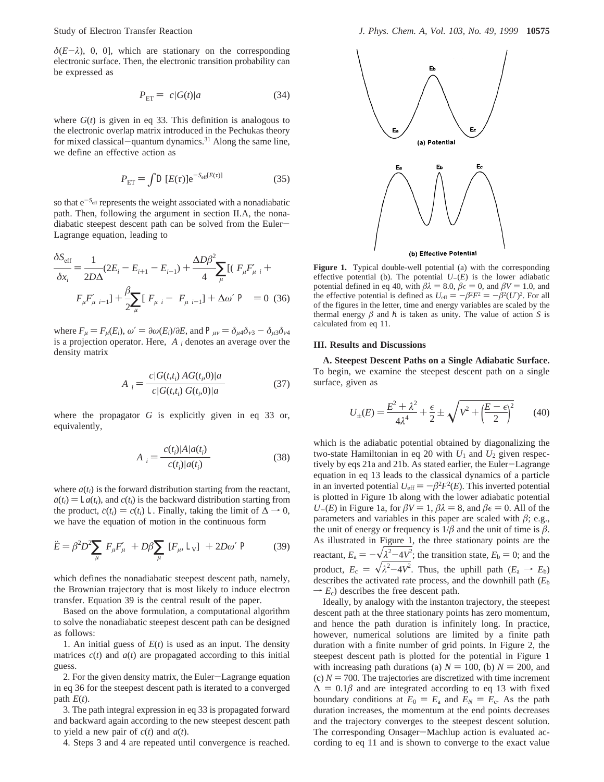$\delta(E-\lambda)$ , 0, 0], which are stationary on the corresponding electronic surface. Then, the electronic transition probability can be expressed as

$$
P_{\rm ET} = \langle c|G(t)|a\rangle \tag{34}
$$

where  $G(t)$  is given in eq 33. This definition is analogous to the electronic overlap matrix introduced in the Pechukas theory for mixed classical-quantum dynamics.<sup>31</sup> Along the same line, we define an effective action as

$$
P_{\rm ET} = \int \mathcal{L}(E(\tau)) \mathrm{e}^{-S_{\rm eff}[E(\tau)]} \tag{35}
$$

so that  $e^{-S_{\text{eff}}}$  represents the weight associated with a nonadiabatic path. Then, following the argument in section II.A, the nonadiabatic steepest descent path can be solved from the Euler-Lagrange equation, leading to

$$
\frac{\delta S_{\text{eff}}}{\delta x_i} = \frac{1}{2D\Delta} (2E_i - E_{i+1} - E_{i-1}) + \frac{\Delta D\beta^2}{4} \sum_{\mu} [(\langle F_{\mu} F_{\mu}' \rangle_i + \langle F_{\mu} F_{\mu}' \rangle_{i-1}] + \frac{\beta}{2} \sum_{\mu} [\langle F_{\mu} \rangle_i - \langle F_{\mu} \rangle_{i-1}] + \Delta \omega' \langle \mathcal{P} \rangle = 0 \quad (36)
$$

where  $F_{\mu} = F_{\mu}(E_i)$ ,  $\omega' = \partial \omega(E_i)/\partial E$ , and  $P_{\mu\nu} = \partial_{\mu} \partial_{\nu} \partial \partial_{\nu} \partial \partial_{\nu} \partial \partial_{\nu} \partial_{\nu} \partial_{\nu} \partial_{\nu} \partial_{\nu} \partial_{\nu} \partial_{\nu} \partial_{\nu} \partial_{\nu} \partial_{\nu} \partial_{\nu} \partial_{\nu} \partial_{\nu} \partial_{\nu} \partial_{\nu} \partial_{\nu} \partial_{\nu} \partial_{\nu} \partial_{\nu} \partial_{\nu} \partial_{\nu} \partial_{\nu} \partial_{\$ is a projection operator. Here,  $\langle A \rangle$ *i* denotes an average over the density matrix

$$
\langle A \rangle_i = \frac{\langle c | G(t, t_i) \, A G(t_i, 0) | a \rangle}{\langle c | G(t, t_i) \, G(t_i, 0) | a \rangle} \tag{37}
$$

where the propagator *G* is explicitly given in eq 33 or, equivalently,

$$
\langle A \rangle_i = \frac{\langle c(t_i) | A | a(t_i) \rangle}{\langle c(t_i) | a(t_i) \rangle} \tag{38}
$$

where  $a(t_i)$  is the forward distribution starting from the reactant,  $\dot{a}(t_i) = \Delta a(t_i)$ , and  $c(t_i)$  is the backward distribution starting from the product,  $\dot{c}(t_i) = c(t_i)$  ∠. Finally, taking the limit of  $\Delta \rightarrow 0$ , we have the equation of motion in the continuous form

$$
\ddot{E} = \beta^2 D^2 \sum_{\mu} \langle F_{\mu} F_{\mu}' \rangle + D\beta \sum_{\mu} \langle [F_{\mu}, \angle_{V}] \rangle + 2D\omega' \langle \mathcal{P} \rangle \tag{39}
$$

which defines the nonadiabatic steepest descent path, namely, the Brownian trajectory that is most likely to induce electron transfer. Equation 39 is the central result of the paper.

Based on the above formulation, a computational algorithm to solve the nonadiabatic steepest descent path can be designed as follows:

1. An initial guess of *E*(*t*) is used as an input. The density matrices  $c(t)$  and  $a(t)$  are propagated according to this initial guess.

2. For the given density matrix, the Euler-Lagrange equation in eq 36 for the steepest descent path is iterated to a converged path  $E(t)$ .

3. The path integral expression in eq 33 is propagated forward and backward again according to the new steepest descent path to yield a new pair of  $c(t)$  and  $a(t)$ .

4. Steps 3 and 4 are repeated until convergence is reached.



**Figure 1.** Typical double-well potential (a) with the corresponding effective potential (b). The potential  $U_{-}(E)$  is the lower adiabatic potential defined in eq 40, with  $\beta \lambda = 8.0$ ,  $\beta \epsilon = 0$ , and  $\beta V = 1.0$ , and the effective potential is defined as  $U_{\text{eff}} = -\beta^2 F^2 = -\beta^2 (U')^2$ . For all of the figures in the letter time and energy variables are scaled by the of the figures in the letter, time and energy variables are scaled by the thermal energy  $\beta$  and  $\hbar$  is taken as unity. The value of action *S* is calculated from eq 11.

### **III. Results and Discussions**

**A. Steepest Descent Paths on a Single Adiabatic Surface.** To begin, we examine the steepest descent path on a single surface, given as

$$
U_{\pm}(E) = \frac{E^2 + \lambda^2}{4\lambda^4} + \frac{\epsilon}{2} \pm \sqrt{V^2 + \left(\frac{E - \epsilon}{2}\right)^2} \tag{40}
$$

which is the adiabatic potential obtained by diagonalizing the two-state Hamiltonian in eq 20 with  $U_1$  and  $U_2$  given respectively by eqs 21a and 21b. As stated earlier, the Euler-Lagrange equation in eq 13 leads to the classical dynamics of a particle in an inverted potential  $U_{\text{eff}} = -\beta^2 F^2(E)$ . This inverted potential is plotted in Figure 1b along with the lower adiabatic potential *U*-(*E*) in Figure 1a, for  $\beta V = 1$ ,  $\beta \lambda = 8$ , and  $\beta \epsilon = 0$ . All of the parameters and variables in this paper are scaled with  $\beta$ ; e.g., the unit of energy or frequency is  $1/\beta$  and the unit of time is  $\beta$ . As illustrated in Figure 1, the three stationary points are the reactant,  $E_a = -\sqrt{\lambda^2 - 4V^2}$ ; the transition state,  $E_b = 0$ ; and the product,  $E_c = \sqrt{\lambda^2 - 4V^2}$ . Thus, the uphill path  $(E_a \rightarrow E_b)$ <br>describes the activated rate process and the downhill path  $(F_a$ describes the activated rate process, and the downhill path (*E*<sup>b</sup>  $\rightarrow$   $E_c$ ) describes the free descent path.

Ideally, by analogy with the instanton trajectory, the steepest descent path at the three stationary points has zero momentum, and hence the path duration is infinitely long. In practice, however, numerical solutions are limited by a finite path duration with a finite number of grid points. In Figure 2, the steepest descent path is plotted for the potential in Figure 1 with increasing path durations (a)  $N = 100$ , (b)  $N = 200$ , and (c)  $N = 700$ . The trajectories are discretized with time increment  $\Delta = 0.1\beta$  and are integrated according to eq 13 with fixed boundary conditions at  $E_0 = E_a$  and  $E_N = E_c$ . As the path duration increases, the momentum at the end points decreases and the trajectory converges to the steepest descent solution. The corresponding Onsager-Machlup action is evaluated according to eq 11 and is shown to converge to the exact value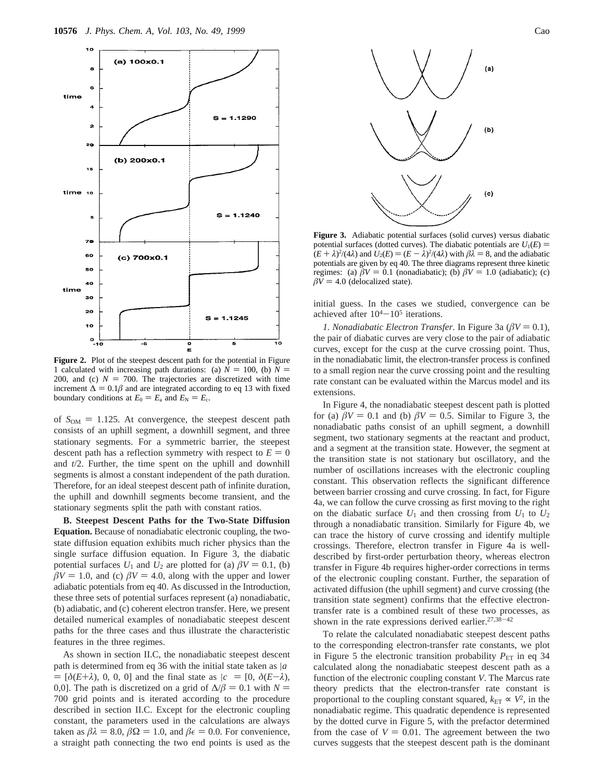

**Figure 2.** Plot of the steepest descent path for the potential in Figure 1 calculated with increasing path durations: (a)  $N = 100$ , (b)  $N =$ 200, and (c)  $N = 700$ . The trajectories are discretized with time increment  $\Delta = 0.1\beta$  and are integrated according to eq 13 with fixed boundary conditions at  $E_0 = E_a$  and  $E_N = E_c$ .

of  $S_{OM} = 1.125$ . At convergence, the steepest descent path consists of an uphill segment, a downhill segment, and three stationary segments. For a symmetric barrier, the steepest descent path has a reflection symmetry with respect to  $E = 0$ and *t*/2. Further, the time spent on the uphill and downhill segments is almost a constant independent of the path duration. Therefore, for an ideal steepest descent path of infinite duration, the uphill and downhill segments become transient, and the stationary segments split the path with constant ratios.

**B. Steepest Descent Paths for the Two-State Diffusion Equation.** Because of nonadiabatic electronic coupling, the twostate diffusion equation exhibits much richer physics than the single surface diffusion equation. In Figure 3, the diabatic potential surfaces  $U_1$  and  $U_2$  are plotted for (a)  $\beta V = 0.1$ , (b)  $\beta$ *V* = 1.0, and (c)  $\beta$ *V* = 4.0, along with the upper and lower adiabatic potentials from eq 40. As discussed in the Introduction, these three sets of potential surfaces represent (a) nonadiabatic, (b) adiabatic, and (c) coherent electron transfer. Here, we present detailed numerical examples of nonadiabatic steepest descent paths for the three cases and thus illustrate the characteristic features in the three regimes.

As shown in section II.C, the nonadiabatic steepest descent path is determined from eq 36 with the initial state taken as  $|a\rangle$  $= [\delta(E+\lambda), 0, 0, 0]$  and the final state as  $|c\rangle = [0, \delta(E-\lambda),$ 0,0]. The path is discretized on a grid of  $\Delta/\beta = 0.1$  with  $N =$ 700 grid points and is iterated according to the procedure described in section II.C. Except for the electronic coupling constant, the parameters used in the calculations are always taken as  $\beta \lambda = 8.0$ ,  $\beta \Omega = 1.0$ , and  $\beta \epsilon = 0.0$ . For convenience, a straight path connecting the two end points is used as the



**Figure 3.** Adiabatic potential surfaces (solid curves) versus diabatic potential surfaces (dotted curves). The diabatic potentials are  $U_1(E)$  =  $(E + \lambda)^2/(4\lambda)$  and  $U_2(E) = (E - \lambda)^2/(4\lambda)$  with  $\beta\lambda = 8$ , and the adiabatic notentials are given by eq. 40. The three diagrams represent three kinetic potentials are given by eq 40. The three diagrams represent three kinetic regimes: (a)  $\beta V = 0.1$  (nonadiabatic); (b)  $\beta V = 1.0$  (adiabatic); (c)  $\beta V = 4.0$  (delocalized state).

initial guess. In the cases we studied, convergence can be achieved after  $10^{4}-10^{5}$  iterations.

*1. Nonadiabatic Electron Transfer.* In Figure 3a ( $\beta V = 0.1$ ), the pair of diabatic curves are very close to the pair of adiabatic curves, except for the cusp at the curve crossing point. Thus, in the nonadiabatic limit, the electron-transfer process is confined to a small region near the curve crossing point and the resulting rate constant can be evaluated within the Marcus model and its extensions.

In Figure 4, the nonadiabatic steepest descent path is plotted for (a)  $\beta V = 0.1$  and (b)  $\beta V = 0.5$ . Similar to Figure 3, the nonadiabatic paths consist of an uphill segment, a downhill segment, two stationary segments at the reactant and product, and a segment at the transition state. However, the segment at the transition state is not stationary but oscillatory, and the number of oscillations increases with the electronic coupling constant. This observation reflects the significant difference between barrier crossing and curve crossing. In fact, for Figure 4a, we can follow the curve crossing as first moving to the right on the diabatic surface  $U_1$  and then crossing from  $U_1$  to  $U_2$ through a nonadiabatic transition. Similarly for Figure 4b, we can trace the history of curve crossing and identify multiple crossings. Therefore, electron transfer in Figure 4a is welldescribed by first-order perturbation theory, whereas electron transfer in Figure 4b requires higher-order corrections in terms of the electronic coupling constant. Further, the separation of activated diffusion (the uphill segment) and curve crossing (the transition state segment) confirms that the effective electrontransfer rate is a combined result of these two processes, as shown in the rate expressions derived earlier.<sup>27,38-42</sup>

To relate the calculated nonadiabatic steepest descent paths to the corresponding electron-transfer rate constants, we plot in Figure 5 the electronic transition probability  $P_{ET}$  in eq 34 calculated along the nonadiabatic steepest descent path as a function of the electronic coupling constant *V*. The Marcus rate theory predicts that the electron-transfer rate constant is proportional to the coupling constant squared,  $k_{ET} \propto V^2$ , in the nonadiabatic regime. This quadratic dependence is represented by the dotted curve in Figure 5, with the prefactor determined from the case of  $V = 0.01$ . The agreement between the two curves suggests that the steepest descent path is the dominant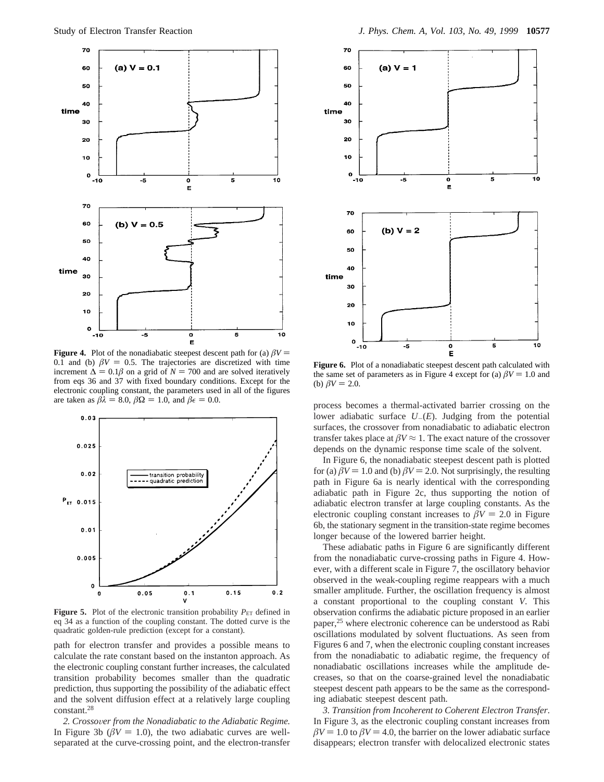

**Figure 4.** Plot of the nonadiabatic steepest descent path for (a)  $\beta V =$ 0.1 and (b)  $\beta V = 0.5$ . The trajectories are discretized with time increment  $\Delta = 0.1\beta$  on a grid of *N* = 700 and are solved iteratively from eqs 36 and 37 with fixed boundary conditions. Except for the electronic coupling constant, the parameters used in all of the figures are taken as  $\beta \lambda = 8.0$ ,  $\beta \Omega = 1.0$ , and  $\beta \epsilon = 0.0$ .



**Figure 5.** Plot of the electronic transition probability  $P_{ET}$  defined in eq 34 as a function of the coupling constant. The dotted curve is the quadratic golden-rule prediction (except for a constant).

path for electron transfer and provides a possible means to calculate the rate constant based on the instanton approach. As the electronic coupling constant further increases, the calculated transition probability becomes smaller than the quadratic prediction, thus supporting the possibility of the adiabatic effect and the solvent diffusion effect at a relatively large coupling constant.28

*2. Crosso*V*er from the Nonadiabatic to the Adiabatic Regime.* In Figure 3b ( $\beta V = 1.0$ ), the two adiabatic curves are wellseparated at the curve-crossing point, and the electron-transfer



**Figure 6.** Plot of a nonadiabatic steepest descent path calculated with the same set of parameters as in Figure 4 except for (a)  $\beta V = 1.0$  and (b)  $\beta V = 2.0$ .

process becomes a thermal-activated barrier crossing on the lower adiabatic surface *<sup>U</sup>*-(*E*). Judging from the potential surfaces, the crossover from nonadiabatic to adiabatic electron transfer takes place at  $\beta V \approx 1$ . The exact nature of the crossover depends on the dynamic response time scale of the solvent.

In Figure 6, the nonadiabatic steepest descent path is plotted for (a)  $\beta V = 1.0$  and (b)  $\beta V = 2.0$ . Not surprisingly, the resulting path in Figure 6a is nearly identical with the corresponding adiabatic path in Figure 2c, thus supporting the notion of adiabatic electron transfer at large coupling constants. As the electronic coupling constant increases to  $\beta V = 2.0$  in Figure 6b, the stationary segment in the transition-state regime becomes longer because of the lowered barrier height.

These adiabatic paths in Figure 6 are significantly different from the nonadiabatic curve-crossing paths in Figure 4. However, with a different scale in Figure 7, the oscillatory behavior observed in the weak-coupling regime reappears with a much smaller amplitude. Further, the oscillation frequency is almost a constant proportional to the coupling constant *V*. This observation confirms the adiabatic picture proposed in an earlier paper,25 where electronic coherence can be understood as Rabi oscillations modulated by solvent fluctuations. As seen from Figures 6 and 7, when the electronic coupling constant increases from the nonadiabatic to adiabatic regime, the frequency of nonadiabatic oscillations increases while the amplitude decreases, so that on the coarse-grained level the nonadiabatic steepest descent path appears to be the same as the corresponding adiabatic steepest descent path.

*3. Transition from Incoherent to Coherent Electron Transfer*. In Figure 3, as the electronic coupling constant increases from  $\beta$ *V* = 1.0 to  $\beta$ *V* = 4.0, the barrier on the lower adiabatic surface disappears; electron transfer with delocalized electronic states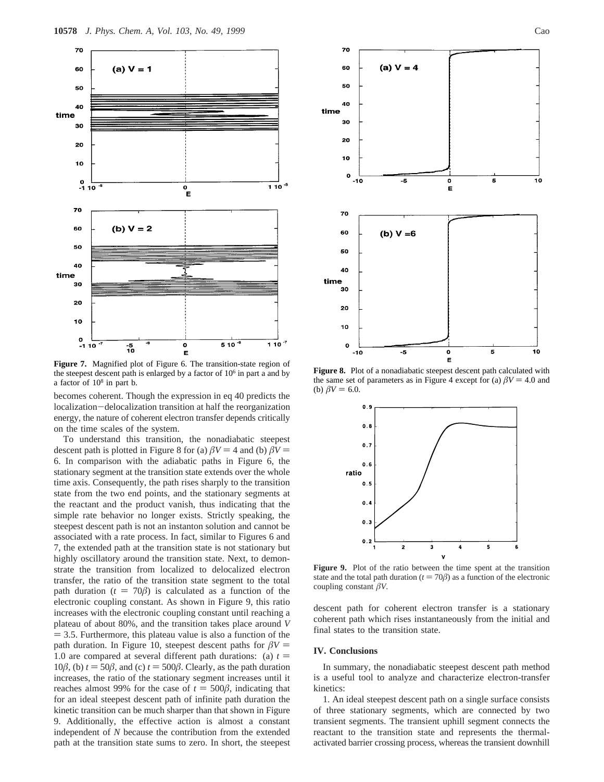

**Figure 7.** Magnified plot of Figure 6. The transition-state region of the steepest descent path is enlarged by a factor of  $10<sup>6</sup>$  in part a and by a factor of  $10<sup>8</sup>$  in part b.

becomes coherent. Though the expression in eq 40 predicts the localization-delocalization transition at half the reorganization energy, the nature of coherent electron transfer depends critically on the time scales of the system.

To understand this transition, the nonadiabatic steepest descent path is plotted in Figure 8 for (a)  $\beta V = 4$  and (b)  $\beta V =$ 6. In comparison with the adiabatic paths in Figure 6, the stationary segment at the transition state extends over the whole time axis. Consequently, the path rises sharply to the transition state from the two end points, and the stationary segments at the reactant and the product vanish, thus indicating that the simple rate behavior no longer exists. Strictly speaking, the steepest descent path is not an instanton solution and cannot be associated with a rate process. In fact, similar to Figures 6 and 7, the extended path at the transition state is not stationary but highly oscillatory around the transition state. Next, to demonstrate the transition from localized to delocalized electron transfer, the ratio of the transition state segment to the total path duration ( $t = 70\beta$ ) is calculated as a function of the electronic coupling constant. As shown in Figure 9, this ratio increases with the electronic coupling constant until reaching a plateau of about 80%, and the transition takes place around *V*  $=$  3.5. Furthermore, this plateau value is also a function of the path duration. In Figure 10, steepest descent paths for  $\beta V =$ 1.0 are compared at several different path durations: (a)  $t =$ 10 $\beta$ , (b)  $t = 50\beta$ , and (c)  $t = 500\beta$ . Clearly, as the path duration increases, the ratio of the stationary segment increases until it reaches almost 99% for the case of  $t = 500\beta$ , indicating that for an ideal steepest descent path of infinite path duration the kinetic transition can be much sharper than that shown in Figure 9. Additionally, the effective action is almost a constant independent of *N* because the contribution from the extended path at the transition state sums to zero. In short, the steepest





**Figure 8.** Plot of a nonadiabatic steepest descent path calculated with the same set of parameters as in Figure 4 except for (a)  $\beta V = 4.0$  and (b)  $\beta V = 6.0$ .



**Figure 9.** Plot of the ratio between the time spent at the transition state and the total path duration ( $t = 70\beta$ ) as a function of the electronic coupling constant *âV*.

descent path for coherent electron transfer is a stationary coherent path which rises instantaneously from the initial and final states to the transition state.

#### **IV. Conclusions**

In summary, the nonadiabatic steepest descent path method is a useful tool to analyze and characterize electron-transfer kinetics:

1. An ideal steepest descent path on a single surface consists of three stationary segments, which are connected by two transient segments. The transient uphill segment connects the reactant to the transition state and represents the thermalactivated barrier crossing process, whereas the transient downhill